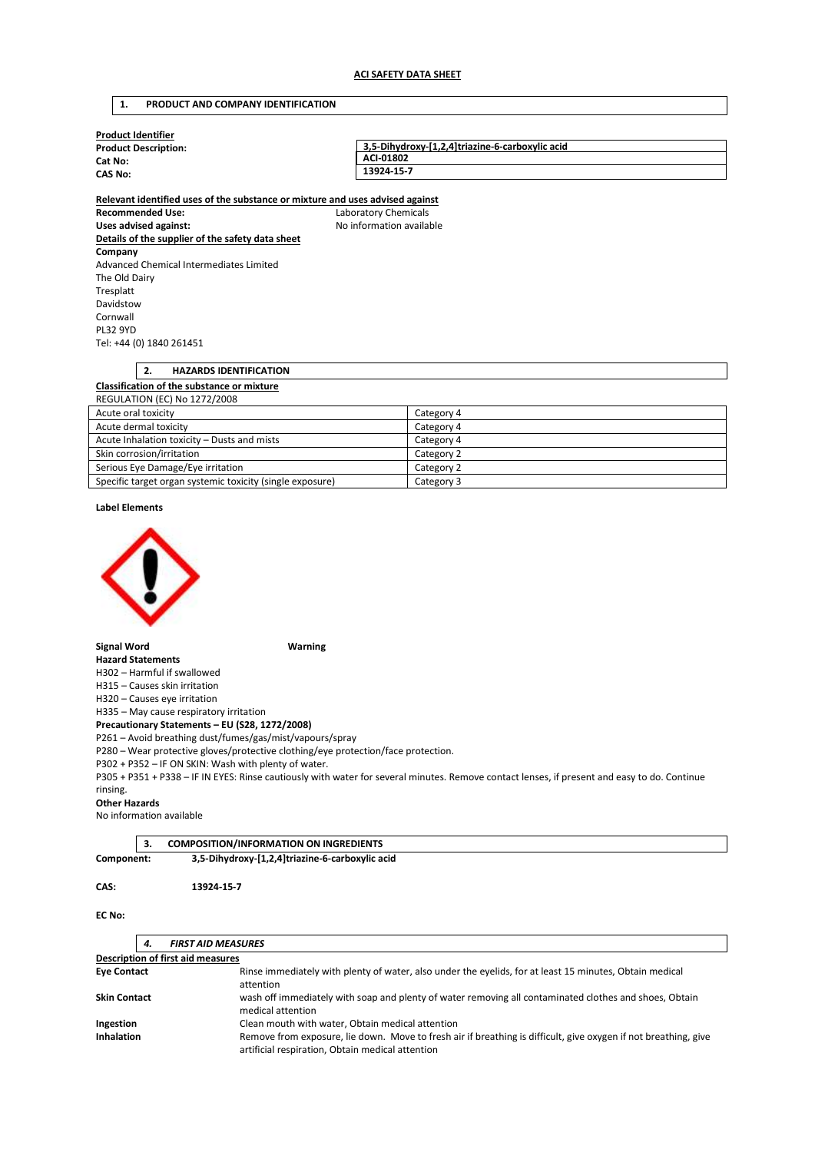## **1. PRODUCT AND COMPANY IDENTIFICATION**

| <b>Product Identifier</b>   |                                                 |
|-----------------------------|-------------------------------------------------|
| <b>Product Description:</b> | 3.5-Dihydroxy-[1,2,4]triazine-6-carboxylic acid |
| Cat No:                     | ACI-01802                                       |
| <b>CAS No:</b>              | 13924-15-7                                      |
|                             |                                                 |

**Relevant identified uses of the substance or mixture and uses advised against Recommended Use:** Laboratory Chemicals Uses advised against: **No information available Details of the supplier of the safety data sheet Company**  Advanced Chemical Intermediates Limited The Old Dairy Tresplatt Davidstow Cornwall PL32 9YD Tel: +44 (0) 1840 261451

### **2. HAZARDS IDENTIFICATION Classification of the substance or mixture**  REGULATION (EC) No 1272/2008

| Acute oral toxicity                                       | Category 4 |
|-----------------------------------------------------------|------------|
| Acute dermal toxicity                                     | Category 4 |
| Acute Inhalation toxicity - Dusts and mists               | Category 4 |
| Skin corrosion/irritation                                 | Category 2 |
| Serious Eye Damage/Eye irritation                         | Category 2 |
| Specific target organ systemic toxicity (single exposure) | Category 3 |

#### **Label Elements**



#### **Signal Word Warning**

**Hazard Statements**  H302 – Harmful if swallowed

H315 – Causes skin irritation

H320 – Causes eye irritation

H335 – May cause respiratory irritation

**Precautionary Statements – EU (S28, 1272/2008)** 

P261 – Avoid breathing dust/fumes/gas/mist/vapours/spray

P280 – Wear protective gloves/protective clothing/eye protection/face protection.

P302 + P352 – IF ON SKIN: Wash with plenty of water.

P305 + P351 + P338 – IF IN EYES: Rinse cautiously with water for several minutes. Remove contact lenses, if present and easy to do. Continue rinsing.

## **Other Hazards**

No information available

|            | <b>COMPOSITION/INFORMATION ON INGREDIENTS</b>   |
|------------|-------------------------------------------------|
| Component: | 3,5-Dihydroxy-[1,2,4]triazine-6-carboxylic acid |

# **CAS: 13924-15-7**

### **EC No:**

|                     | 4. | <b>FIRST AID MEASURES</b>                                                                                                                                           |
|---------------------|----|---------------------------------------------------------------------------------------------------------------------------------------------------------------------|
|                     |    | <b>Description of first aid measures</b>                                                                                                                            |
| <b>Eye Contact</b>  |    | Rinse immediately with plenty of water, also under the eyelids, for at least 15 minutes, Obtain medical<br>attention                                                |
| <b>Skin Contact</b> |    | wash off immediately with soap and plenty of water removing all contaminated clothes and shoes, Obtain<br>medical attention                                         |
| Ingestion           |    | Clean mouth with water, Obtain medical attention                                                                                                                    |
| Inhalation          |    | Remove from exposure, lie down. Move to fresh air if breathing is difficult, give oxygen if not breathing, give<br>artificial respiration, Obtain medical attention |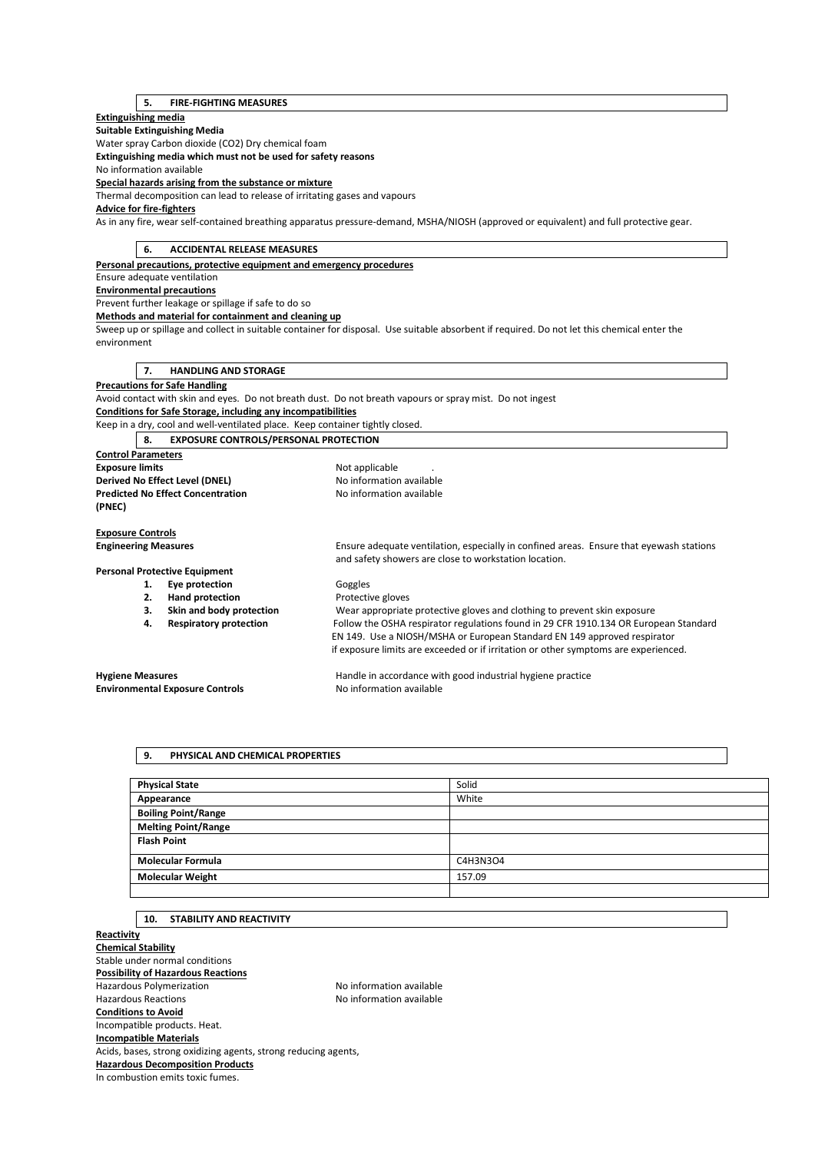## **5. FIRE-FIGHTING MEASURES**

## **Extinguishing media**

**Suitable Extinguishing Media** 

Water spray Carbon dioxide (CO2) Dry chemical foam

**Extinguishing media which must not be used for safety reasons** 

No information available

**Special hazards arising from the substance or mixture** 

Thermal decomposition can lead to release of irritating gases and vapours

## **Advice for fire-fighters**

As in any fire, wear self-contained breathing apparatus pressure-demand, MSHA/NIOSH (approved or equivalent) and full protective gear.

| <b>ACCIDENTAL RELEASE MEASURES</b><br>6.                                      |                                                                                                                                                                  |
|-------------------------------------------------------------------------------|------------------------------------------------------------------------------------------------------------------------------------------------------------------|
| Personal precautions, protective equipment and emergency procedures           |                                                                                                                                                                  |
| Ensure adequate ventilation                                                   |                                                                                                                                                                  |
| <b>Environmental precautions</b>                                              |                                                                                                                                                                  |
| Prevent further leakage or spillage if safe to do so                          |                                                                                                                                                                  |
| Methods and material for containment and cleaning up                          |                                                                                                                                                                  |
|                                                                               | Sweep up or spillage and collect in suitable container for disposal. Use suitable absorbent if required. Do not let this chemical enter the                      |
| environment                                                                   |                                                                                                                                                                  |
|                                                                               |                                                                                                                                                                  |
| <b>HANDLING AND STORAGE</b><br>7.                                             |                                                                                                                                                                  |
| <b>Precautions for Safe Handling</b>                                          |                                                                                                                                                                  |
|                                                                               | Avoid contact with skin and eyes. Do not breath dust. Do not breath vapours or spray mist. Do not ingest                                                         |
| Conditions for Safe Storage, including any incompatibilities                  |                                                                                                                                                                  |
| Keep in a dry, cool and well-ventilated place. Keep container tightly closed. |                                                                                                                                                                  |
| <b>EXPOSURE CONTROLS/PERSONAL PROTECTION</b><br>8.                            |                                                                                                                                                                  |
| <b>Control Parameters</b>                                                     |                                                                                                                                                                  |
| <b>Exposure limits</b>                                                        | Not applicable                                                                                                                                                   |
| Derived No Effect Level (DNEL)                                                | No information available                                                                                                                                         |
| <b>Predicted No Effect Concentration</b>                                      | No information available                                                                                                                                         |
| (PNEC)                                                                        |                                                                                                                                                                  |
|                                                                               |                                                                                                                                                                  |
| <b>Exposure Controls</b>                                                      |                                                                                                                                                                  |
| <b>Engineering Measures</b>                                                   | Ensure adequate ventilation, especially in confined areas. Ensure that eyewash stations                                                                          |
|                                                                               | and safety showers are close to workstation location.                                                                                                            |
| <b>Personal Protective Equipment</b>                                          |                                                                                                                                                                  |
| Eye protection<br>1.                                                          | Goggles                                                                                                                                                          |
| <b>Hand protection</b><br>2.                                                  | Protective gloves                                                                                                                                                |
| Skin and body protection<br>3.                                                | Wear appropriate protective gloves and clothing to prevent skin exposure                                                                                         |
| <b>Respiratory protection</b><br>4.                                           | Follow the OSHA respirator regulations found in 29 CFR 1910.134 OR European Standard<br>EN 149. Use a NIOSH/MSHA or European Standard EN 149 approved respirator |
|                                                                               |                                                                                                                                                                  |
|                                                                               | if exposure limits are exceeded or if irritation or other symptoms are experienced.                                                                              |
| <b>Hygiene Measures</b>                                                       | Handle in accordance with good industrial hygiene practice                                                                                                       |
| <b>Environmental Exposure Controls</b>                                        | No information available                                                                                                                                         |
|                                                                               |                                                                                                                                                                  |

## **9. PHYSICAL AND CHEMICAL PROPERTIES**

| <b>Physical State</b>      | Solid    |
|----------------------------|----------|
| Appearance                 | White    |
| <b>Boiling Point/Range</b> |          |
| <b>Melting Point/Range</b> |          |
| <b>Flash Point</b>         |          |
| <b>Molecular Formula</b>   | C4H3N3O4 |
| <b>Molecular Weight</b>    | 157.09   |
|                            |          |

## **10. STABILITY AND REACTIVITY**

**Reactivity Chemical Stability**  Stable under normal conditions **Possibility of Hazardous Reactions**  Hazardous Polymerization and the Society of the No information available<br>Hazardous Reactions available No information available No information available **Conditions to Avoid**  Incompatible products. Heat. **Incompatible Materials**  Acids, bases, strong oxidizing agents, strong reducing agents, **Hazardous Decomposition Products**  In combustion emits toxic fumes.